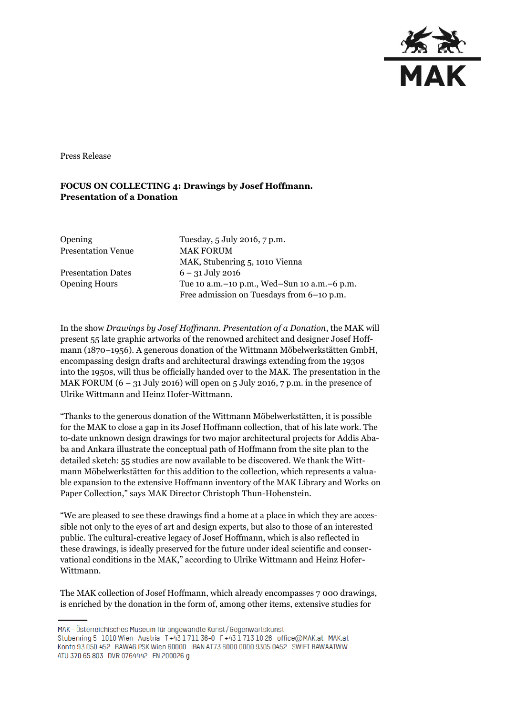

Press Release

## **FOCUS ON COLLECTING 4: Drawings by Josef Hoffmann. Presentation of a Donation**

| <b>Opening</b>            | Tuesday, 5 July 2016, 7 p.m.                    |
|---------------------------|-------------------------------------------------|
| <b>Presentation Venue</b> | <b>MAK FORUM</b>                                |
|                           | MAK, Stubenring 5, 1010 Vienna                  |
| <b>Presentation Dates</b> | $6 - 31$ July 2016                              |
| <b>Opening Hours</b>      | Tue 10 a.m. – 10 p.m., Wed–Sun 10 a.m. – 6 p.m. |
|                           | Free admission on Tuesdays from 6-10 p.m.       |

In the show *Drawings by Josef Hoffmann. Presentation of a Donation*, the MAK will present 55 late graphic artworks of the renowned architect and designer Josef Hoffmann (1870–1956). A generous donation of the Wittmann Möbelwerkstätten GmbH, encompassing design drafts and architectural drawings extending from the 1930s into the 1950s, will thus be officially handed over to the MAK. The presentation in the MAK FORUM  $(6 - 31$  July 2016) will open on 5 July 2016, 7 p.m. in the presence of Ulrike Wittmann and Heinz Hofer-Wittmann.

"Thanks to the generous donation of the Wittmann Möbelwerkstätten, it is possible for the MAK to close a gap in its Josef Hoffmann collection, that of his late work. The to-date unknown design drawings for two major architectural projects for Addis Ababa and Ankara illustrate the conceptual path of Hoffmann from the site plan to the detailed sketch: 55 studies are now available to be discovered. We thank the Wittmann Möbelwerkstätten for this addition to the collection, which represents a valuable expansion to the extensive Hoffmann inventory of the MAK Library and Works on Paper Collection," says MAK Director Christoph Thun-Hohenstein.

"We are pleased to see these drawings find a home at a place in which they are accessible not only to the eyes of art and design experts, but also to those of an interested public. The cultural-creative legacy of Josef Hoffmann, which is also reflected in these drawings, is ideally preserved for the future under ideal scientific and conservational conditions in the MAK," according to Ulrike Wittmann and Heinz Hofer-Wittmann.

The MAK collection of Josef Hoffmann, which already encompasses 7 000 drawings, is enriched by the donation in the form of, among other items, extensive studies for

MAK - Österreichisches Museum für angewandte Kunst/Gegenwartskunst Stubenring 5 1010 Wien Austria T+43 1711 36-0 F+43 1713 10 26 office@MAK.at MAK.at Konto 93 050 452 BAWAG PSK Wien 60000 IBAN AT73 6000 0000 9305 0452 SWIFT BAWAATWW ATU 370 65 803 DVR 0764442 FN 200026 g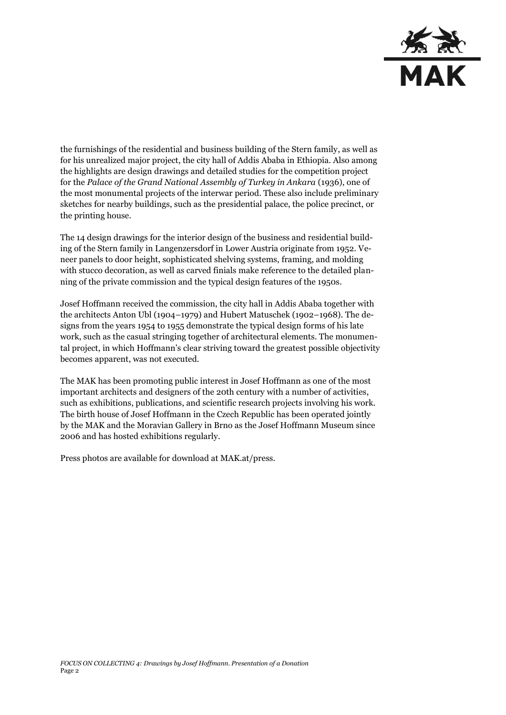

the furnishings of the residential and business building of the Stern family, as well as for his unrealized major project, the city hall of Addis Ababa in Ethiopia. Also among the highlights are design drawings and detailed studies for the competition project for the *Palace of the Grand National Assembly of Turkey in Ankara* (1936), one of the most monumental projects of the interwar period. These also include preliminary sketches for nearby buildings, such as the presidential palace, the police precinct, or the printing house.

The 14 design drawings for the interior design of the business and residential building of the Stern family in Langenzersdorf in Lower Austria originate from 1952. Veneer panels to door height, sophisticated shelving systems, framing, and molding with stucco decoration, as well as carved finials make reference to the detailed planning of the private commission and the typical design features of the 1950s.

Josef Hoffmann received the commission, the city hall in Addis Ababa together with the architects Anton Ubl (1904–1979) and Hubert Matuschek (1902–1968). The designs from the years 1954 to 1955 demonstrate the typical design forms of his late work, such as the casual stringing together of architectural elements. The monumental project, in which Hoffmann's clear striving toward the greatest possible objectivity becomes apparent, was not executed.

The MAK has been promoting public interest in Josef Hoffmann as one of the most important architects and designers of the 20th century with a number of activities, such as exhibitions, publications, and scientific research projects involving his work. The birth house of Josef Hoffmann in the Czech Republic has been operated jointly by the MAK and the Moravian Gallery in Brno as the Josef Hoffmann Museum since 2006 and has hosted exhibitions regularly.

Press photos are available for download at MAK.at/press.